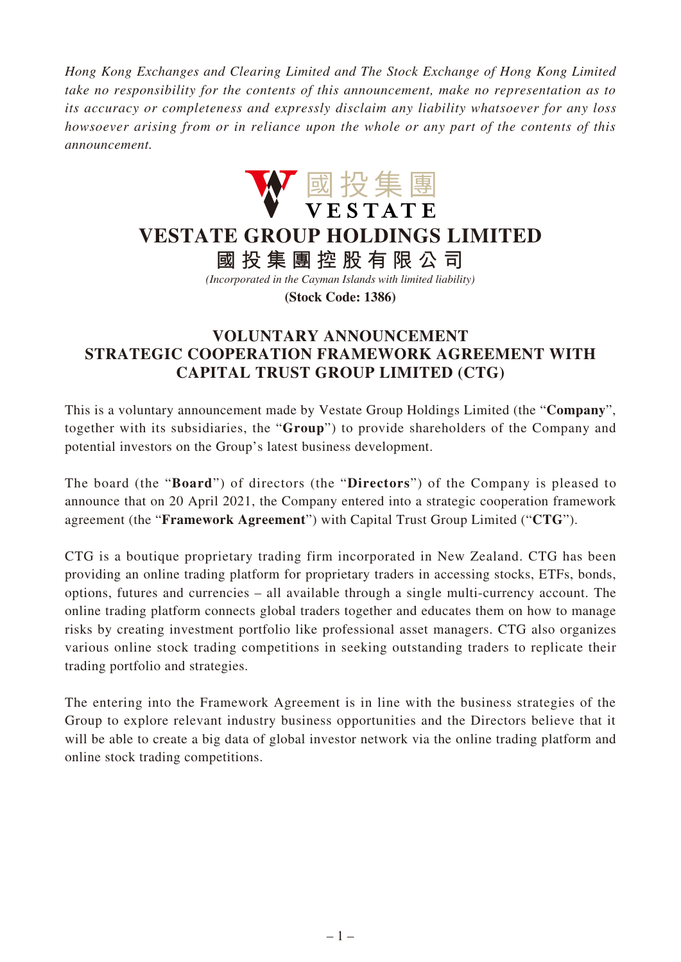*Hong Kong Exchanges and Clearing Limited and The Stock Exchange of Hong Kong Limited take no responsibility for the contents of this announcement, make no representation as to its accuracy or completeness and expressly disclaim any liability whatsoever for any loss howsoever arising from or in reliance upon the whole or any part of the contents of this announcement.*



## **VESTATE GROUP HOLDINGS LIMITED**

**國投集團控股有限公司**

*(Incorporated in the Cayman Islands with limited liability)*

**(Stock Code: 1386)**

## **VOLUNTARY ANNOUNCEMENT STRATEGIC COOPERATION FRAMEWORK AGREEMENT WITH CAPITAL TRUST GROUP LIMITED (CTG)**

This is a voluntary announcement made by Vestate Group Holdings Limited (the "**Company**", together with its subsidiaries, the "**Group**") to provide shareholders of the Company and potential investors on the Group's latest business development.

The board (the "**Board**") of directors (the "**Directors**") of the Company is pleased to announce that on 20 April 2021, the Company entered into a strategic cooperation framework agreement (the "**Framework Agreement**") with Capital Trust Group Limited ("**CTG**").

CTG is a boutique proprietary trading firm incorporated in New Zealand. CTG has been providing an online trading platform for proprietary traders in accessing stocks, ETFs, bonds, options, futures and currencies – all available through a single multi-currency account. The online trading platform connects global traders together and educates them on how to manage risks by creating investment portfolio like professional asset managers. CTG also organizes various online stock trading competitions in seeking outstanding traders to replicate their trading portfolio and strategies.

The entering into the Framework Agreement is in line with the business strategies of the Group to explore relevant industry business opportunities and the Directors believe that it will be able to create a big data of global investor network via the online trading platform and online stock trading competitions.